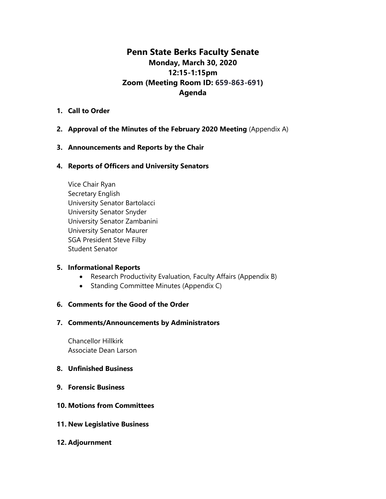# **Penn State Berks Faculty Senate Monday, March 30, 2020 12:15-1:15pm Zoom (Meeting Room ID: 659-863-691) Agenda**

#### **1. Call to Order**

### **2. Approval of the Minutes of the February 2020 Meeting** (Appendix A)

#### **3. Announcements and Reports by the Chair**

#### **4. Reports of Officers and University Senators**

Vice Chair Ryan Secretary English University Senator Bartolacci University Senator Snyder University Senator Zambanini University Senator Maurer SGA President Steve Filby Student Senator

#### **5. Informational Reports**

- Research Productivity Evaluation, Faculty Affairs (Appendix B)
- Standing Committee Minutes (Appendix C)

#### **6. Comments for the Good of the Order**

#### **7. Comments/Announcements by Administrators**

Chancellor Hillkirk Associate Dean Larson

#### **8. Unfinished Business**

**9. Forensic Business**

### **10. Motions from Committees**

**11. New Legislative Business**

#### **12. Adjournment**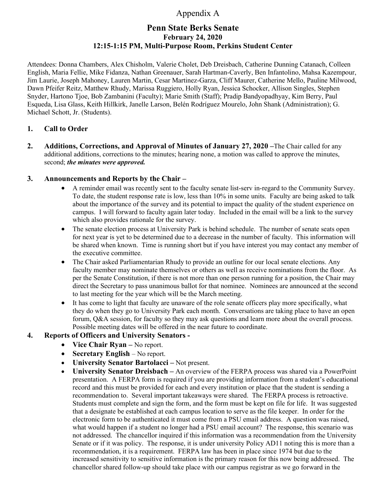# Appendix A

# **Penn State Berks Senate February 24, 2020 12:15-1:15 PM, Multi-Purpose Room, Perkins Student Center**

Attendees: Donna Chambers, Alex Chisholm, Valerie Cholet, Deb Dreisbach, Catherine Dunning Catanach, Colleen English, Maria Fellie, Mike Fidanza, Nathan Greenauer, Sarah Hartman-Caverly, Ben Infantolino, Mahsa Kazempour, Jim Laurie, Joseph Mahoney, Lauren Martin, Cesar Martinez-Garza, Cliff Maurer, Catherine Mello, Pauline Milwood, Dawn Pfeifer Reitz, Matthew Rhudy, Marissa Ruggiero, Holly Ryan, Jessica Schocker, Allison Singles, Stephen Snyder, Hartono Tjoe, Bob Zambanini (Faculty); Marie Smith (Staff); Pradip Bandyopadhyay, Kim Berry, Paul Esqueda, Lisa Glass, Keith Hillkirk, Janelle Larson, Belén Rodríguez Mourelo, John Shank (Administration); G. Michael Schott, Jr. (Students).

### **1. Call to Order**

**2. Additions, Corrections, and Approval of Minutes of January 27, 2020 –**The Chair called for any additional additions, corrections to the minutes; hearing none, a motion was called to approve the minutes, second; *the minutes were approved.*

### **3. Announcements and Reports by the Chair –**

- A reminder email was recently sent to the faculty senate list-serv in-regard to the Community Survey. To date, the student response rate is low, less than 10% in some units. Faculty are being asked to talk about the importance of the survey and its potential to impact the quality of the student experience on campus. I will forward to faculty again later today. Included in the email will be a link to the survey which also provides rationale for the survey.
- The senate election process at University Park is behind schedule. The number of senate seats open for next year is yet to be determined due to a decrease in the number of faculty. This information will be shared when known. Time is running short but if you have interest you may contact any member of the executive committee.
- The Chair asked Parliamentarian Rhudy to provide an outline for our local senate elections. Any faculty member may nominate themselves or others as well as receive nominations from the floor. As per the Senate Constitution, if there is not more than one person running for a position, the Chair may direct the Secretary to pass unanimous ballot for that nominee. Nominees are announced at the second to last meeting for the year which will be the March meeting.
- It has come to light that faculty are unaware of the role senate officers play more specifically, what they do when they go to University Park each month. Conversations are taking place to have an open forum, Q&A session, for faculty so they may ask questions and learn more about the overall process. Possible meeting dates will be offered in the near future to coordinate.

## **4. Reports of Officers and University Senators -**

- **Vice Chair Ryan** No report.
- **Secretary English** No report.
- **University Senator Bartolacci –** Not present.
- **University Senator Dreisbach –** An overview of the FERPA process was shared via a PowerPoint presentation. A FERPA form is required if you are providing information from a student's educational record and this must be provided for each and every institution or place that the student is sending a recommendation to. Several important takeaways were shared. The FERPA process is retroactive. Students must complete and sign the form, and the form must be kept on file for life. It was suggested that a designate be established at each campus location to serve as the file keeper. In order for the electronic form to be authenticated it must come from a PSU email address. A question was raised, what would happen if a student no longer had a PSU email account? The response, this scenario was not addressed. The chancellor inquired if this information was a recommendation from the University Senate or if it was policy. The response, it is under university Policy AD11 noting this is more than a recommendation, it is a requirement. FERPA law has been in place since 1974 but due to the increased sensitivity to sensitive information is the primary reason for this now being addressed. The chancellor shared follow-up should take place with our campus registrar as we go forward in the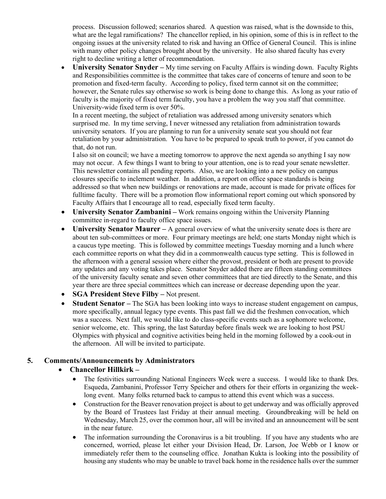process. Discussion followed; scenarios shared. A question was raised, what is the downside to this, what are the legal ramifications? The chancellor replied, in his opinion, some of this is in reflect to the ongoing issues at the university related to risk and having an Office of General Council. This is inline with many other policy changes brought about by the university. He also shared faculty has every right to decline writing a letter of recommendation.

• **University Senator Snyder –** My time serving on Faculty Affairs is winding down. Faculty Rights and Responsibilities committee is the committee that takes care of concerns of tenure and soon to be promotion and fixed-term faculty. According to policy, fixed term cannot sit on the committee; however, the Senate rules say otherwise so work is being done to change this. As long as your ratio of faculty is the majority of fixed term faculty, you have a problem the way you staff that committee. University-wide fixed term is over 50%.

In a recent meeting, the subject of retaliation was addressed among university senators which surprised me. In my time serving, I never witnessed any retaliation from administration towards university senators. If you are planning to run for a university senate seat you should not fear retaliation by your administration. You have to be prepared to speak truth to power, if you cannot do that, do not run.

I also sit on council; we have a meeting tomorrow to approve the next agenda so anything I say now may not occur. A few things I want to bring to your attention, one is to read your senate newsletter. This newsletter contains all pending reports. Also, we are looking into a new policy on campus closures specific to inclement weather. In addition, a report on office space standards is being addressed so that when new buildings or renovations are made, account is made for private offices for fulltime faculty. There will be a promotion flow informational report coming out which sponsored by Faculty Affairs that I encourage all to read, especially fixed term faculty.

- **University Senator Zambanini –** Work remains ongoing within the University Planning committee in-regard to faculty office space issues.
- **University Senator Maurer** A general overview of what the university senate does is there are about ten sub-committees or more. Four primary meetings are held; one starts Monday night which is a caucus type meeting. This is followed by committee meetings Tuesday morning and a lunch where each committee reports on what they did in a commonwealth caucus type setting. This is followed in the afternoon with a general session where either the provost, president or both are present to provide any updates and any voting takes place. Senator Snyder added there are fifteen standing committees of the university faculty senate and seven other committees that are tied directly to the Senate, and this year there are three special committees which can increase or decrease depending upon the year.
- **SGA President Steve Filby** Not present.
- **Student Senator** The SGA has been looking into ways to increase student engagement on campus, more specifically, annual legacy type events. This past fall we did the freshmen convocation, which was a success. Next fall, we would like to do class-specific events such as a sophomore welcome, senior welcome, etc. This spring, the last Saturday before finals week we are looking to host PSU Olympics with physical and cognitive activities being held in the morning followed by a cook-out in the afternoon. All will be invited to participate.

## **5. Comments/Announcements by Administrators**

- **Chancellor Hillkirk –**
	- The festivities surrounding National Engineers Week were a success. I would like to thank Drs. Esqueda, Zambanini, Professor Terry Speicher and others for their efforts in organizing the weeklong event. Many folks returned back to campus to attend this event which was a success.
	- Construction for the Beaver renovation project is about to get underway and was officially approved by the Board of Trustees last Friday at their annual meeting. Groundbreaking will be held on Wednesday, March 25, over the common hour, all will be invited and an announcement will be sent in the near future.
	- The information surrounding the Coronavirus is a bit troubling. If you have any students who are concerned, worried, please let either your Division Head, Dr. Larson, Joe Webb or I know or immediately refer them to the counseling office. Jonathan Kukta is looking into the possibility of housing any students who may be unable to travel back home in the residence halls over the summer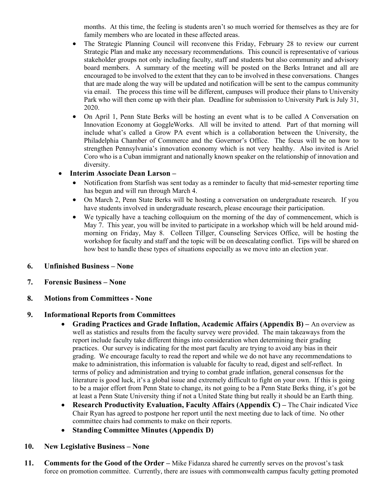months. At this time, the feeling is students aren't so much worried for themselves as they are for family members who are located in these affected areas.

- The Strategic Planning Council will reconvene this Friday, February 28 to review our current Strategic Plan and make any necessary recommendations. This council is representative of various stakeholder groups not only including faculty, staff and students but also community and advisory board members. A summary of the meeting will be posted on the Berks Intranet and all are encouraged to be involved to the extent that they can to be involved in these conversations. Changes that are made along the way will be updated and notification will be sent to the campus community via email. The process this time will be different, campuses will produce their plans to University Park who will then come up with their plan. Deadline for submission to University Park is July 31, 2020.
- On April 1, Penn State Berks will be hosting an event what is to be called A Conversation on Innovation Economy at GoggleWorks. All will be invited to attend. Part of that morning will include what's called a Grow PA event which is a collaboration between the University, the Philadelphia Chamber of Commerce and the Governor's Office. The focus will be on how to strengthen Pennsylvania's innovation economy which is not very healthy. Also invited is Ariel Coro who is a Cuban immigrant and nationally known speaker on the relationship of innovation and diversity.

## • **Interim Associate Dean Larson –**

- Notification from Starfish was sent today as a reminder to faculty that mid-semester reporting time has begun and will run through March 4.
- On March 2, Penn State Berks will be hosting a conversation on undergraduate research. If you have students involved in undergraduate research, please encourage their participation.
- We typically have a teaching colloquium on the morning of the day of commencement, which is May 7. This year, you will be invited to participate in a workshop which will be held around midmorning on Friday, May 8. Colleen Tillger, Counseling Services Office, will be hosting the workshop for faculty and staff and the topic will be on deescalating conflict. Tips will be shared on how best to handle these types of situations especially as we move into an election year.

## **6. Unfinished Business – None**

**7. Forensic Business – None**

## **8. Motions from Committees - None**

## **9. Informational Reports from Committees**

- **Grading Practices and Grade Inflation, Academic Affairs (Appendix B)** An overview as well as statistics and results from the faculty survey were provided. The main takeaways from the report include faculty take different things into consideration when determining their grading practices. Our survey is indicating for the most part faculty are trying to avoid any bias in their grading. We encourage faculty to read the report and while we do not have any recommendations to make to administration, this information is valuable for faculty to read, digest and self-reflect. In terms of policy and administration and trying to combat grade inflation, general consensus for the literature is good luck, it's a global issue and extremely difficult to fight on your own. If this is going to be a major effort from Penn State to change, its not going to be a Penn State Berks thing, it's got be at least a Penn State University thing if not a United State thing but really it should be an Earth thing.
- **Research Productivity Evaluation, Faculty Affairs (Appendix C) The Chair indicated Vice** Chair Ryan has agreed to postpone her report until the next meeting due to lack of time. No other committee chairs had comments to make on their reports.
- **Standing Committee Minutes (Appendix D)**

#### **10. New Legislative Business – None**

**11. Comments for the Good of the Order –** Mike Fidanza shared he currently serves on the provost's task force on promotion committee. Currently, there are issues with commonwealth campus faculty getting promoted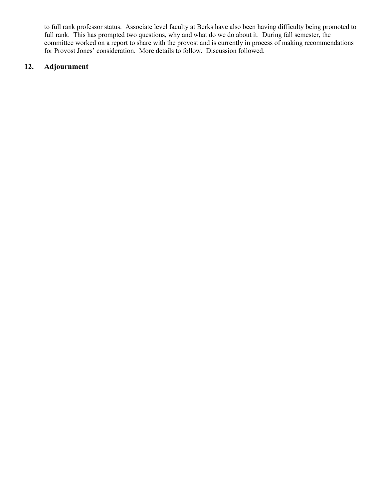to full rank professor status. Associate level faculty at Berks have also been having difficulty being promoted to full rank. This has prompted two questions, why and what do we do about it. During fall semester, the committee worked on a report to share with the provost and is currently in process of making recommendations for Provost Jones' consideration. More details to follow. Discussion followed.

## **12. Adjournment**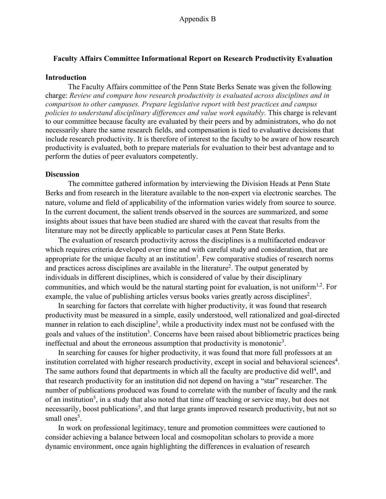#### **Faculty Affairs Committee Informational Report on Research Productivity Evaluation**

#### **Introduction**

The Faculty Affairs committee of the Penn State Berks Senate was given the following charge: *Review and compare how research productivity is evaluated across disciplines and in comparison to other campuses. Prepare legislative report with best practices and campus policies to understand disciplinary differences and value work equitably.* This charge is relevant to our committee because faculty are evaluated by their peers and by administrators, who do not necessarily share the same research fields, and compensation is tied to evaluative decisions that include research productivity. It is therefore of interest to the faculty to be aware of how research productivity is evaluated, both to prepare materials for evaluation to their best advantage and to perform the duties of peer evaluators competently.

#### **Discussion**

The committee gathered information by interviewing the Division Heads at Penn State Berks and from research in the literature available to the non-expert via electronic searches. The nature, volume and field of applicability of the information varies widely from source to source. In the current document, the salient trends observed in the sources are summarized, and some insights about issues that have been studied are shared with the caveat that results from the literature may not be directly applicable to particular cases at Penn State Berks.

The evaluation of research productivity across the disciplines is a multifaceted endeavor which requires criteria developed over time and with careful study and consideration, that are appropriate for the unique faculty at an institution<sup>1</sup>. Few comparative studies of research norms and practices across disciplines are available in the literature<sup>2</sup>. The output generated by individuals in different disciplines, which is considered of value by their disciplinary communities, and which would be the natural starting point for evaluation, is not uniform<sup>1,2</sup>. For example, the value of publishing articles versus books varies greatly across disciplines<sup>2</sup>.

In searching for factors that correlate with higher productivity, it was found that research productivity must be measured in a simple, easily understood, well rationalized and goal-directed manner in relation to each discipline<sup>3</sup>, while a productivity index must not be confused with the goals and values of the institution<sup>3</sup>. Concerns have been raised about bibliometric practices being ineffectual and about the erroneous assumption that productivity is monotonic<sup>3</sup>.

In searching for causes for higher productivity, it was found that more full professors at an institution correlated with higher research productivity, except in social and behavioral sciences<sup>4</sup>. The same authors found that departments in which all the faculty are productive did well<sup>4</sup>, and that research productivity for an institution did not depend on having a "star" researcher. The number of publications produced was found to correlate with the number of faculty and the rank of an institution<sup>5</sup>, in a study that also noted that time off teaching or service may, but does not necessarily, boost publications<sup>5</sup>, and that large grants improved research productivity, but not so small ones<sup>5</sup>.

In work on professional legitimacy, tenure and promotion committees were cautioned to consider achieving a balance between local and cosmopolitan scholars to provide a more dynamic environment, once again highlighting the differences in evaluation of research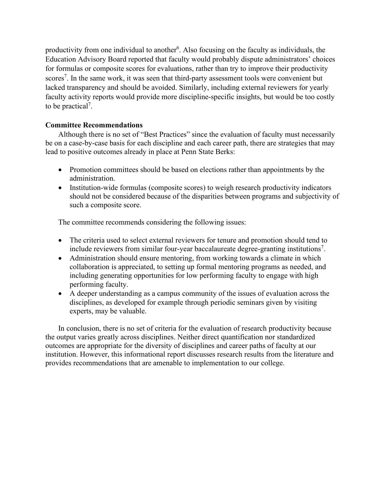productivity from one individual to another<sup>6</sup>. Also focusing on the faculty as individuals, the Education Advisory Board reported that faculty would probably dispute administrators' choices for formulas or composite scores for evaluations, rather than try to improve their productivity scores<sup>7</sup>. In the same work, it was seen that third-party assessment tools were convenient but lacked transparency and should be avoided. Similarly, including external reviewers for yearly faculty activity reports would provide more discipline-specific insights, but would be too costly to be practical<sup>7</sup>.

### **Committee Recommendations**

Although there is no set of "Best Practices" since the evaluation of faculty must necessarily be on a case-by-case basis for each discipline and each career path, there are strategies that may lead to positive outcomes already in place at Penn State Berks:

- Promotion committees should be based on elections rather than appointments by the administration.
- Institution-wide formulas (composite scores) to weigh research productivity indicators should not be considered because of the disparities between programs and subjectivity of such a composite score.

The committee recommends considering the following issues:

- The criteria used to select external reviewers for tenure and promotion should tend to include reviewers from similar four-year baccalaureate degree-granting institutions<sup>7</sup>.
- Administration should ensure mentoring, from working towards a climate in which collaboration is appreciated, to setting up formal mentoring programs as needed, and including generating opportunities for low performing faculty to engage with high performing faculty.
- A deeper understanding as a campus community of the issues of evaluation across the disciplines, as developed for example through periodic seminars given by visiting experts, may be valuable.

In conclusion, there is no set of criteria for the evaluation of research productivity because the output varies greatly across disciplines. Neither direct quantification nor standardized outcomes are appropriate for the diversity of disciplines and career paths of faculty at our institution. However, this informational report discusses research results from the literature and provides recommendations that are amenable to implementation to our college.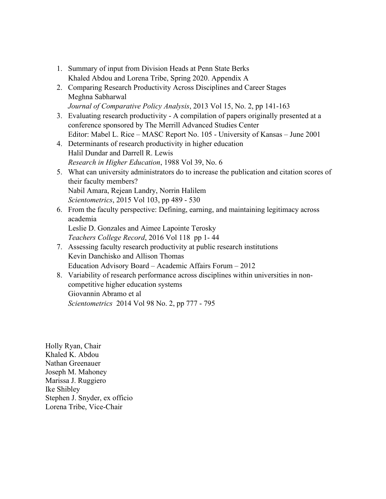- 1. Summary of input from Division Heads at Penn State Berks Khaled Abdou and Lorena Tribe, Spring 2020. Appendix A
- 2. Comparing Research Productivity Across Disciplines and Career Stages Meghna Sabharwal *Journal of Comparative Policy Analysis*, 2013 Vol 15, No. 2, pp 141-163
- 3. Evaluating research productivity A compilation of papers originally presented at a conference sponsored by The Merrill Advanced Studies Center Editor: Mabel L. Rice – MASC Report No. 105 - University of Kansas – June 2001
- 4. Determinants of research productivity in higher education Halil Dundar and Darrell R. Lewis *Research in Higher Education*, 1988 Vol 39, No. 6
- 5. What can university administrators do to increase the publication and citation scores of their faculty members? Nabil Amara, Rejean Landry, Norrin Halilem *Scientometrics*, 2015 Vol 103, pp 489 - 530
- 6. From the faculty perspective: Defining, earning, and maintaining legitimacy across academia

Leslie D. Gonzales and Aimee Lapointe Terosky *Teachers College Record*, 2016 Vol 118 pp 1- 44

- 7. Assessing faculty research productivity at public research institutions Kevin Danchisko and Allison Thomas Education Advisory Board – Academic Affairs Forum – 2012
- 8. Variability of research performance across disciplines within universities in noncompetitive higher education systems Giovannin Abramo et al *Scientometrics* 2014 Vol 98 No. 2, pp 777 - 795

Holly Ryan, Chair Khaled K. Abdou Nathan Greenauer Joseph M. Mahoney Marissa J. Ruggiero Ike Shibley Stephen J. Snyder, ex officio Lorena Tribe, Vice-Chair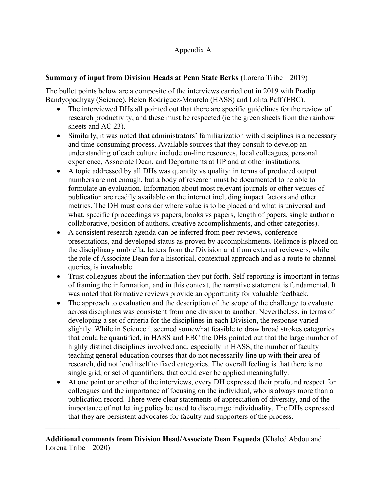## Appendix A

## **Summary of input from Division Heads at Penn State Berks (**Lorena Tribe – 2019)

The bullet points below are a composite of the interviews carried out in 2019 with Pradip Bandyopadhyay (Science), Belen Rodriguez-Mourelo (HASS) and Lolita Paff (EBC).

- The interviewed DHs all pointed out that there are specific guidelines for the review of research productivity, and these must be respected (ie the green sheets from the rainbow sheets and AC 23).
- Similarly, it was noted that administrators' familiarization with disciplines is a necessary and time-consuming process. Available sources that they consult to develop an understanding of each culture include on-line resources, local colleagues, personal experience, Associate Dean, and Departments at UP and at other institutions.
- A topic addressed by all DHs was quantity vs quality: in terms of produced output numbers are not enough, but a body of research must be documented to be able to formulate an evaluation. Information about most relevant journals or other venues of publication are readily available on the internet including impact factors and other metrics. The DH must consider where value is to be placed and what is universal and what, specific (proceedings vs papers, books vs papers, length of papers, single author o collaborative, position of authors, creative accomplishments, and other categories).
- A consistent research agenda can be inferred from peer-reviews, conference presentations, and developed status as proven by accomplishments. Reliance is placed on the disciplinary umbrella: letters from the Division and from external reviewers, while the role of Associate Dean for a historical, contextual approach and as a route to channel queries, is invaluable.
- Trust colleagues about the information they put forth. Self-reporting is important in terms of framing the information, and in this context, the narrative statement is fundamental. It was noted that formative reviews provide an opportunity for valuable feedback.
- The approach to evaluation and the description of the scope of the challenge to evaluate across disciplines was consistent from one division to another. Nevertheless, in terms of developing a set of criteria for the disciplines in each Division, the response varied slightly. While in Science it seemed somewhat feasible to draw broad strokes categories that could be quantified, in HASS and EBC the DHs pointed out that the large number of highly distinct disciplines involved and, especially in HASS, the number of faculty teaching general education courses that do not necessarily line up with their area of research, did not lend itself to fixed categories. The overall feeling is that there is no single grid, or set of quantifiers, that could ever be applied meaningfully.
- At one point or another of the interviews, every DH expressed their profound respect for colleagues and the importance of focusing on the individual, who is always more than a publication record. There were clear statements of appreciation of diversity, and of the importance of not letting policy be used to discourage individuality. The DHs expressed that they are persistent advocates for faculty and supporters of the process.

 $\mathcal{L}_\mathcal{L} = \mathcal{L}_\mathcal{L} = \mathcal{L}_\mathcal{L} = \mathcal{L}_\mathcal{L} = \mathcal{L}_\mathcal{L} = \mathcal{L}_\mathcal{L} = \mathcal{L}_\mathcal{L} = \mathcal{L}_\mathcal{L} = \mathcal{L}_\mathcal{L} = \mathcal{L}_\mathcal{L} = \mathcal{L}_\mathcal{L} = \mathcal{L}_\mathcal{L} = \mathcal{L}_\mathcal{L} = \mathcal{L}_\mathcal{L} = \mathcal{L}_\mathcal{L} = \mathcal{L}_\mathcal{L} = \mathcal{L}_\mathcal{L}$ 

**Additional comments from Division Head/Associate Dean Esqueda (**Khaled Abdou and Lorena Tribe – 2020)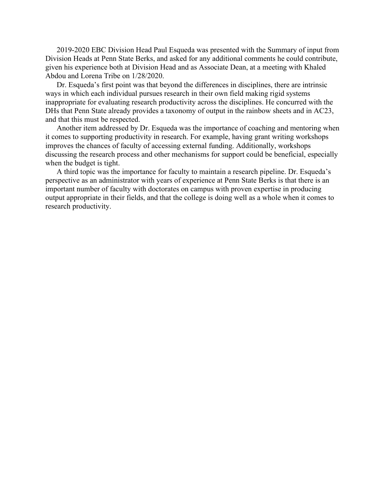2019-2020 EBC Division Head Paul Esqueda was presented with the Summary of input from Division Heads at Penn State Berks, and asked for any additional comments he could contribute, given his experience both at Division Head and as Associate Dean, at a meeting with Khaled Abdou and Lorena Tribe on 1/28/2020.

Dr. Esqueda's first point was that beyond the differences in disciplines, there are intrinsic ways in which each individual pursues research in their own field making rigid systems inappropriate for evaluating research productivity across the disciplines. He concurred with the DHs that Penn State already provides a taxonomy of output in the rainbow sheets and in AC23, and that this must be respected.

Another item addressed by Dr. Esqueda was the importance of coaching and mentoring when it comes to supporting productivity in research. For example, having grant writing workshops improves the chances of faculty of accessing external funding. Additionally, workshops discussing the research process and other mechanisms for support could be beneficial, especially when the budget is tight.

A third topic was the importance for faculty to maintain a research pipeline. Dr. Esqueda's perspective as an administrator with years of experience at Penn State Berks is that there is an important number of faculty with doctorates on campus with proven expertise in producing output appropriate in their fields, and that the college is doing well as a whole when it comes to research productivity.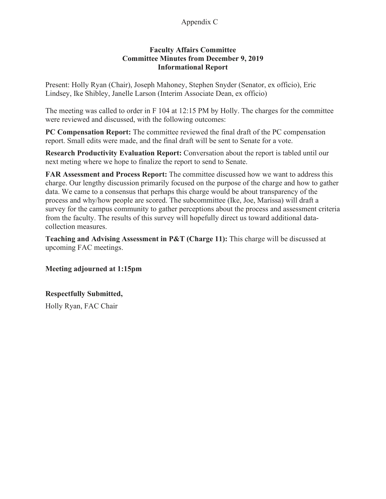## Appendix C

#### **Faculty Affairs Committee Committee Minutes from December 9, 2019 Informational Report**

Present: Holly Ryan (Chair), Joseph Mahoney, Stephen Snyder (Senator, ex officio), Eric Lindsey, Ike Shibley, Janelle Larson (Interim Associate Dean, ex officio)

The meeting was called to order in F 104 at 12:15 PM by Holly. The charges for the committee were reviewed and discussed, with the following outcomes:

**PC Compensation Report:** The committee reviewed the final draft of the PC compensation report. Small edits were made, and the final draft will be sent to Senate for a vote.

**Research Productivity Evaluation Report:** Conversation about the report is tabled until our next meting where we hope to finalize the report to send to Senate.

**FAR Assessment and Process Report:** The committee discussed how we want to address this charge. Our lengthy discussion primarily focused on the purpose of the charge and how to gather data. We came to a consensus that perhaps this charge would be about transparency of the process and why/how people are scored. The subcommittee (Ike, Joe, Marissa) will draft a survey for the campus community to gather perceptions about the process and assessment criteria from the faculty. The results of this survey will hopefully direct us toward additional datacollection measures.

**Teaching and Advising Assessment in P&T (Charge 11):** This charge will be discussed at upcoming FAC meetings.

**Meeting adjourned at 1:15pm** 

## **Respectfully Submitted,**

Holly Ryan, FAC Chair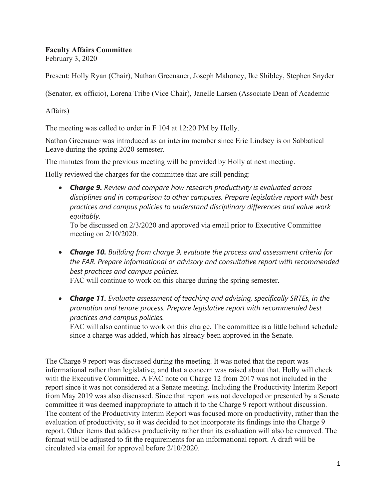### **Faculty Affairs Committee**

February 3, 2020

Present: Holly Ryan (Chair), Nathan Greenauer, Joseph Mahoney, Ike Shibley, Stephen Snyder

(Senator, ex officio), Lorena Tribe (Vice Chair), Janelle Larsen (Associate Dean of Academic

Affairs)

The meeting was called to order in F 104 at 12:20 PM by Holly.

Nathan Greenauer was introduced as an interim member since Eric Lindsey is on Sabbatical Leave during the spring 2020 semester.

The minutes from the previous meeting will be provided by Holly at next meeting.

Holly reviewed the charges for the committee that are still pending:

• *Charge 9. Review and compare how research productivity is evaluated across disciplines and in comparison to other campuses. Prepare legislative report with best practices and campus policies to understand disciplinary differences and value work equitably.*

To be discussed on 2/3/2020 and approved via email prior to Executive Committee meeting on 2/10/2020.

• *Charge 10. Building from charge 9, evaluate the process and assessment criteria for the FAR. Prepare informational or advisory and consultative report with recommended best practices and campus policies.*

FAC will continue to work on this charge during the spring semester.

• *Charge 11. Evaluate assessment of teaching and advising, specifically SRTEs, in the promotion and tenure process. Prepare legislative report with recommended best practices and campus policies.*

FAC will also continue to work on this charge. The committee is a little behind schedule since a charge was added, which has already been approved in the Senate.

The Charge 9 report was discussed during the meeting. It was noted that the report was informational rather than legislative, and that a concern was raised about that. Holly will check with the Executive Committee. A FAC note on Charge 12 from 2017 was not included in the report since it was not considered at a Senate meeting. Including the Productivity Interim Report from May 2019 was also discussed. Since that report was not developed or presented by a Senate committee it was deemed inappropriate to attach it to the Charge 9 report without discussion. The content of the Productivity Interim Report was focused more on productivity, rather than the evaluation of productivity, so it was decided to not incorporate its findings into the Charge 9 report. Other items that address productivity rather than its evaluation will also be removed. The format will be adjusted to fit the requirements for an informational report. A draft will be circulated via email for approval before 2/10/2020.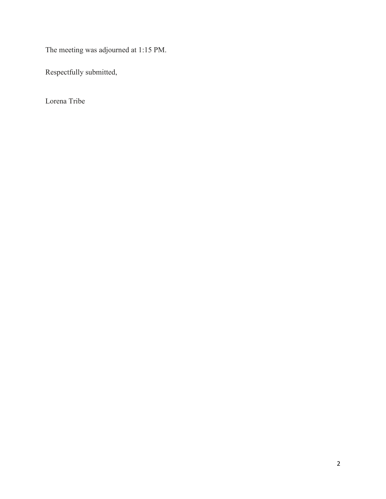The meeting was adjourned at 1:15 PM.

Respectfully submitted,

Lorena Tribe